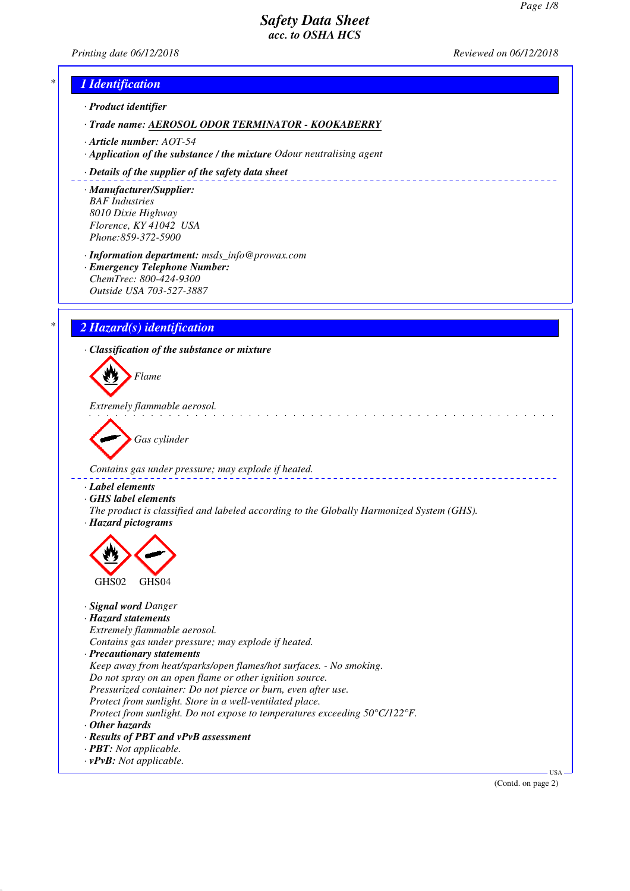*Printing date 06/12/2018 Reviewed on 06/12/2018*



(Contd. on page 2)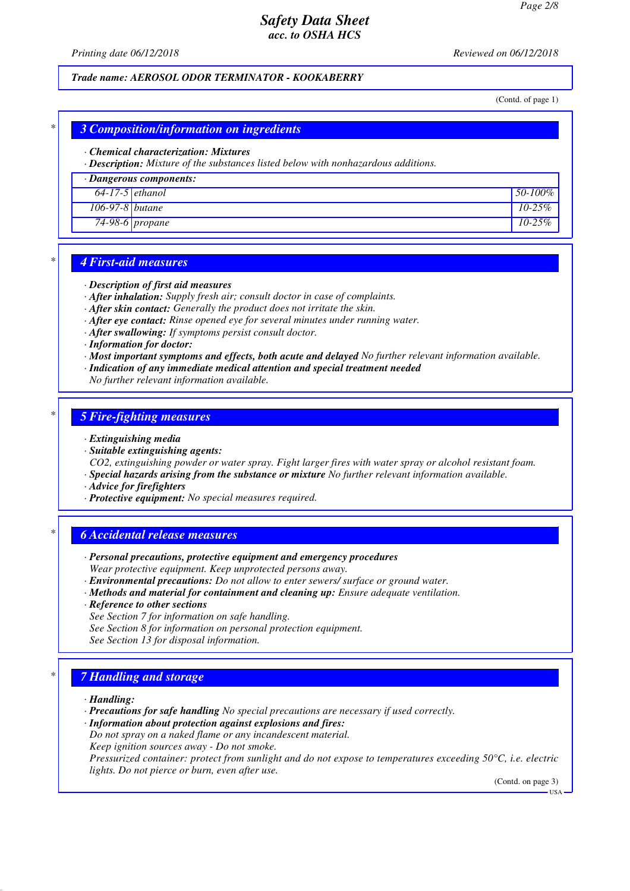*Printing date 06/12/2018 Reviewed on 06/12/2018*

### *Trade name: AEROSOL ODOR TERMINATOR - KOOKABERRY*

(Contd. of page 1)

## *\* 3 Composition/information on ingredients*

#### *· Chemical characterization: Mixtures*

*· Description: Mixture of the substances listed below with nonhazardous additions.*

#### *· Dangerous components:*

| $64-17-5$ ethanol |                 | 50-100%    |
|-------------------|-----------------|------------|
| 106-97-8 butane   |                 | $10 - 25%$ |
|                   | 74-98-6 propane | $10 - 25%$ |

### *\* 4 First-aid measures*

#### *· Description of first aid measures*

*· After inhalation: Supply fresh air; consult doctor in case of complaints.*

- *· After skin contact: Generally the product does not irritate the skin.*
- *· After eye contact: Rinse opened eye for several minutes under running water.*
- *· After swallowing: If symptoms persist consult doctor.*
- *· Information for doctor:*
- *· Most important symptoms and effects, both acute and delayed No further relevant information available.*
- *· Indication of any immediate medical attention and special treatment needed*
- *No further relevant information available.*

#### *\* 5 Fire-fighting measures*

#### *· Extinguishing media*

- *· Suitable extinguishing agents:*
- *CO2, extinguishing powder or water spray. Fight larger fires with water spray or alcohol resistant foam. · Special hazards arising from the substance or mixture No further relevant information available.*
- *· Advice for firefighters*
- *· Protective equipment: No special measures required.*

#### *\* 6 Accidental release measures*

- *· Personal precautions, protective equipment and emergency procedures Wear protective equipment. Keep unprotected persons away.*
- *· Environmental precautions: Do not allow to enter sewers/ surface or ground water.*
- *· Methods and material for containment and cleaning up: Ensure adequate ventilation.*
- *· Reference to other sections*
- *See Section 7 for information on safe handling.*
- *See Section 8 for information on personal protection equipment.*
- *See Section 13 for disposal information.*

## *\* 7 Handling and storage*

- *· Handling:*
- *· Precautions for safe handling No special precautions are necessary if used correctly.*

*· Information about protection against explosions and fires:*

- *Do not spray on a naked flame or any incandescent material.*
- *Keep ignition sources away Do not smoke.*

*Pressurized container: protect from sunlight and do not expose to temperatures exceeding 50°C, i.e. electric lights. Do not pierce or burn, even after use.*

(Contd. on page 3)

USA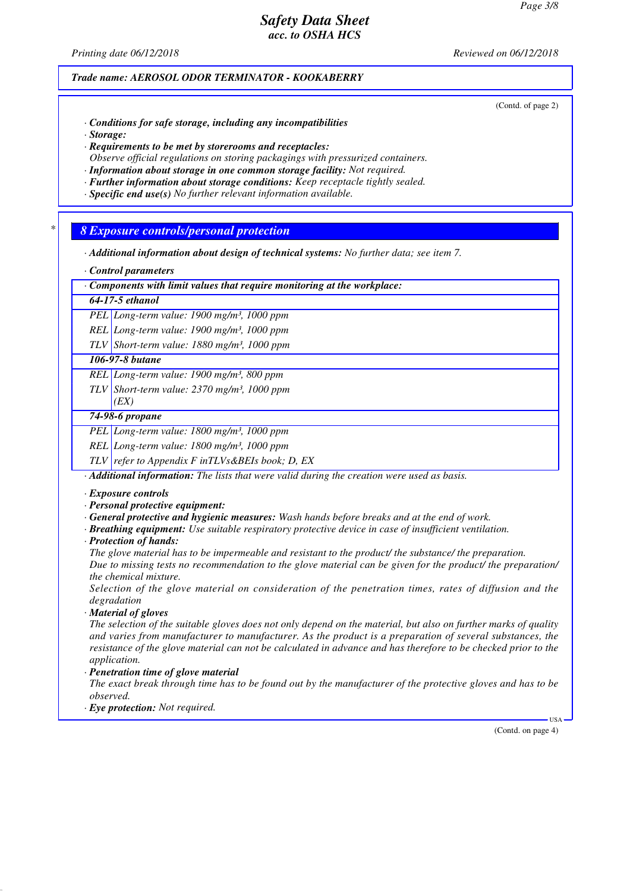*Printing date 06/12/2018 Reviewed on 06/12/2018*

*Trade name: AEROSOL ODOR TERMINATOR - KOOKABERRY*

(Contd. of page 2)

- *· Conditions for safe storage, including any incompatibilities*
- *· Storage:*
- *· Requirements to be met by storerooms and receptacles: Observe official regulations on storing packagings with pressurized containers.*
- *· Information about storage in one common storage facility: Not required.*
- *· Further information about storage conditions: Keep receptacle tightly sealed.*
- *· Specific end use(s) No further relevant information available.*

*\* 8 Exposure controls/personal protection*

- *· Additional information about design of technical systems: No further data; see item 7.*
- *· Control parameters*

*· Components with limit values that require monitoring at the workplace:*

### *64-17-5 ethanol*

*PEL Long-term value: 1900 mg/m³, 1000 ppm*

*REL Long-term value: 1900 mg/m³, 1000 ppm*

*TLV Short-term value: 1880 mg/m³, 1000 ppm*

## *106-97-8 butane*

*REL Long-term value: 1900 mg/m³, 800 ppm*

*TLV Short-term value: 2370 mg/m³, 1000 ppm*

## *(EX) 74-98-6 propane*

*PEL Long-term value: 1800 mg/m³, 1000 ppm*

*REL Long-term value: 1800 mg/m³, 1000 ppm*

*TLV refer to Appendix F inTLVs&BEIs book; D, EX*

*· Additional information: The lists that were valid during the creation were used as basis.*

- *· Exposure controls*
- *· Personal protective equipment:*
- *· General protective and hygienic measures: Wash hands before breaks and at the end of work.*
- *· Breathing equipment: Use suitable respiratory protective device in case of insufficient ventilation.*
- *· Protection of hands:*

*The glove material has to be impermeable and resistant to the product/ the substance/ the preparation. Due to missing tests no recommendation to the glove material can be given for the product/ the preparation/ the chemical mixture.*

*Selection of the glove material on consideration of the penetration times, rates of diffusion and the degradation*

*· Material of gloves*

*The selection of the suitable gloves does not only depend on the material, but also on further marks of quality and varies from manufacturer to manufacturer. As the product is a preparation of several substances, the resistance of the glove material can not be calculated in advance and has therefore to be checked prior to the application.*

*· Penetration time of glove material*

*The exact break through time has to be found out by the manufacturer of the protective gloves and has to be observed.*

*· Eye protection: Not required.*

(Contd. on page 4)

USA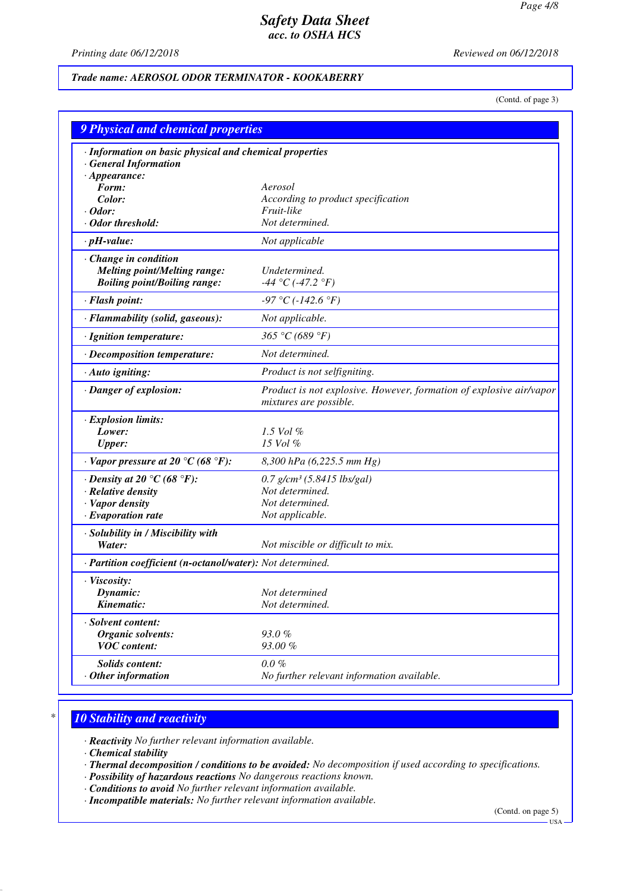*Printing date 06/12/2018 Reviewed on 06/12/2018*

## *Trade name: AEROSOL ODOR TERMINATOR - KOOKABERRY*

(Contd. of page 3)

| <b>9 Physical and chemical properties</b><br>· Information on basic physical and chemical properties<br><b>General Information</b><br>$\cdot$ Appearance: |                                                                                               |  |  |  |
|-----------------------------------------------------------------------------------------------------------------------------------------------------------|-----------------------------------------------------------------------------------------------|--|--|--|
|                                                                                                                                                           |                                                                                               |  |  |  |
| Color:                                                                                                                                                    | According to product specification                                                            |  |  |  |
| $\cdot$ Odor:                                                                                                                                             | Fruit-like                                                                                    |  |  |  |
| · Odor threshold:                                                                                                                                         | Not determined.                                                                               |  |  |  |
| $\cdot$ pH-value:                                                                                                                                         | Not applicable                                                                                |  |  |  |
| Change in condition<br><b>Melting point/Melting range:</b><br><b>Boiling point/Boiling range:</b>                                                         | Undetermined.<br>-44 °C (-47.2 °F)                                                            |  |  |  |
| · Flash point:                                                                                                                                            | $-97 °C (-142.6 °F)$                                                                          |  |  |  |
| · Flammability (solid, gaseous):                                                                                                                          | Not applicable.                                                                               |  |  |  |
| · Ignition temperature:                                                                                                                                   | 365 °C (689 °F)                                                                               |  |  |  |
| $\cdot$ Decomposition temperature:                                                                                                                        | Not determined.                                                                               |  |  |  |
| · Auto igniting:                                                                                                                                          | Product is not selfigniting.                                                                  |  |  |  |
| · Danger of explosion:                                                                                                                                    | Product is not explosive. However, formation of explosive air/vapor<br>mixtures are possible. |  |  |  |
| · Explosion limits:                                                                                                                                       |                                                                                               |  |  |  |
| Lower:                                                                                                                                                    | 1.5 Vol $\%$                                                                                  |  |  |  |
| <b>Upper:</b>                                                                                                                                             | 15 Vol %                                                                                      |  |  |  |
| $\cdot$ Vapor pressure at 20 °C (68 °F):                                                                                                                  | 8,300 hPa (6,225.5 mm Hg)                                                                     |  |  |  |
| $\cdot$ Density at 20 $\degree$ C (68 $\degree$ F):                                                                                                       | $0.7$ g/cm <sup>3</sup> (5.8415 lbs/gal)                                                      |  |  |  |
| · Relative density                                                                                                                                        | Not determined.                                                                               |  |  |  |
| · Vapor density                                                                                                                                           | Not determined.                                                                               |  |  |  |
| $\cdot$ Evaporation rate                                                                                                                                  | Not applicable.                                                                               |  |  |  |
| · Solubility in / Miscibility with<br>Water:                                                                                                              | Not miscible or difficult to mix.                                                             |  |  |  |
| · Partition coefficient (n-octanol/water): Not determined.                                                                                                |                                                                                               |  |  |  |
| · Viscosity:                                                                                                                                              |                                                                                               |  |  |  |
| Dynamic:                                                                                                                                                  | Not determined                                                                                |  |  |  |
| Kinematic:                                                                                                                                                | Not determined.                                                                               |  |  |  |
| · Solvent content:                                                                                                                                        |                                                                                               |  |  |  |
| <b>Organic solvents:</b>                                                                                                                                  | 93.0%                                                                                         |  |  |  |
| <b>VOC</b> content:                                                                                                                                       | 93.00%                                                                                        |  |  |  |
| Solids content:                                                                                                                                           | $0.0 \%$                                                                                      |  |  |  |
| $·$ Other information                                                                                                                                     | No further relevant information available.                                                    |  |  |  |

# *\* 10 Stability and reactivity*

*· Reactivity No further relevant information available.*

*· Chemical stability*

- *· Thermal decomposition / conditions to be avoided: No decomposition if used according to specifications.*
- *· Possibility of hazardous reactions No dangerous reactions known.*
- *· Conditions to avoid No further relevant information available.*

*· Incompatible materials: No further relevant information available.*

(Contd. on page 5)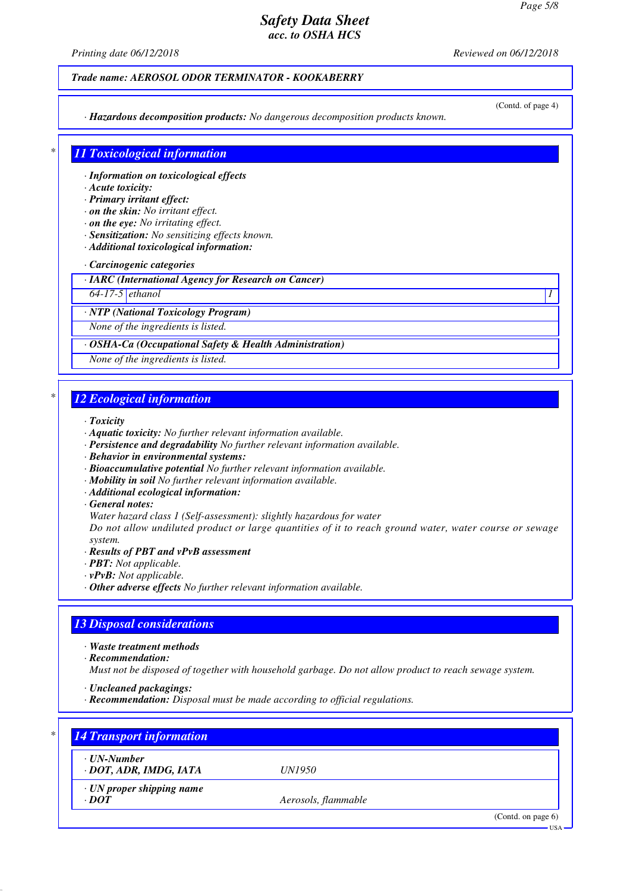*Printing date 06/12/2018 Reviewed on 06/12/2018*

### *Trade name: AEROSOL ODOR TERMINATOR - KOOKABERRY*

*· Hazardous decomposition products: No dangerous decomposition products known.*

(Contd. of page 4)

## *\* 11 Toxicological information*

*· Information on toxicological effects*

### *· Acute toxicity:*

*· Primary irritant effect:*

- *· on the skin: No irritant effect.*
- *· on the eye: No irritating effect.*
- *· Sensitization: No sensitizing effects known.*
- *· Additional toxicological information:*

#### *· Carcinogenic categories*

*· IARC (International Agency for Research on Cancer)*

*64-17-5 ethanol 1* 

*· NTP (National Toxicology Program)*

*None of the ingredients is listed.*

#### *· OSHA-Ca (Occupational Safety & Health Administration)*

*None of the ingredients is listed.*

## *\* 12 Ecological information*

#### *· Toxicity*

- *· Aquatic toxicity: No further relevant information available.*
- *· Persistence and degradability No further relevant information available.*
- *· Behavior in environmental systems:*
- *· Bioaccumulative potential No further relevant information available.*
- *· Mobility in soil No further relevant information available.*
- *· Additional ecological information:*

#### *· General notes:*

*Water hazard class 1 (Self-assessment): slightly hazardous for water*

*Do not allow undiluted product or large quantities of it to reach ground water, water course or sewage system.*

- *· Results of PBT and vPvB assessment*
- *· PBT: Not applicable.*
- *· vPvB: Not applicable.*
- *· Other adverse effects No further relevant information available.*

## *13 Disposal considerations*

- *· Waste treatment methods*
- *· Recommendation:*

*Must not be disposed of together with household garbage. Do not allow product to reach sewage system.*

- *· Uncleaned packagings:*
- *· Recommendation: Disposal must be made according to official regulations.*

| · UN-Number                     |                     |  |
|---------------------------------|---------------------|--|
| · DOT, ADR, IMDG, IATA          | <i>UN1950</i>       |  |
| $\cdot$ UN proper shipping name |                     |  |
| $\cdot$ DOT                     | Aerosols, flammable |  |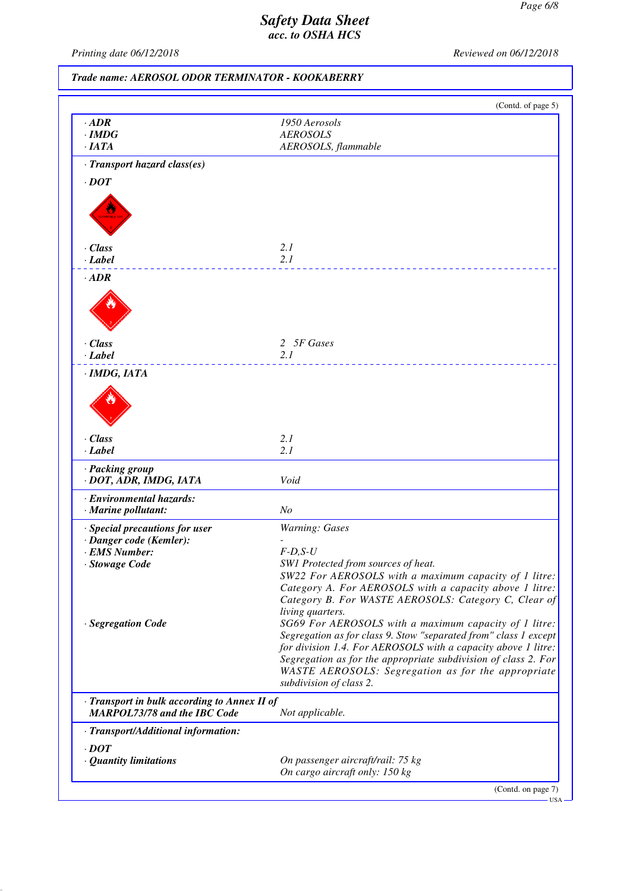USA

# *Safety Data Sheet acc. to OSHA HCS*

*Printing date 06/12/2018 Reviewed on 06/12/2018*

*Trade name: AEROSOL ODOR TERMINATOR - KOOKABERRY*

|                                                                                     | (Contd. of page 5)                                                                                                                                                                                                                                                                                                        |
|-------------------------------------------------------------------------------------|---------------------------------------------------------------------------------------------------------------------------------------------------------------------------------------------------------------------------------------------------------------------------------------------------------------------------|
| $\cdot$ ADR                                                                         | 1950 Aerosols                                                                                                                                                                                                                                                                                                             |
| $\cdot$ IMDG                                                                        | <b>AEROSOLS</b>                                                                                                                                                                                                                                                                                                           |
| $\cdot$ IATA                                                                        | AEROSOLS, flammable                                                                                                                                                                                                                                                                                                       |
| · Transport hazard class(es)                                                        |                                                                                                                                                                                                                                                                                                                           |
| $\cdot$ <i>DOT</i>                                                                  |                                                                                                                                                                                                                                                                                                                           |
|                                                                                     |                                                                                                                                                                                                                                                                                                                           |
| $\cdot$ Class                                                                       | 2.1                                                                                                                                                                                                                                                                                                                       |
| $\cdot$ Label                                                                       | 2.1                                                                                                                                                                                                                                                                                                                       |
| $\cdot$ <i>ADR</i>                                                                  |                                                                                                                                                                                                                                                                                                                           |
|                                                                                     |                                                                                                                                                                                                                                                                                                                           |
| $\cdot$ Class                                                                       | 2 5F Gases                                                                                                                                                                                                                                                                                                                |
| $\cdot$ Label                                                                       | 2.1                                                                                                                                                                                                                                                                                                                       |
| · IMDG, IATA                                                                        |                                                                                                                                                                                                                                                                                                                           |
| $\cdot$ Class                                                                       | 2.1                                                                                                                                                                                                                                                                                                                       |
| · Label                                                                             | 2.1                                                                                                                                                                                                                                                                                                                       |
| · Packing group<br>· DOT, ADR, IMDG, IATA                                           | Void                                                                                                                                                                                                                                                                                                                      |
| · Environmental hazards:                                                            |                                                                                                                                                                                                                                                                                                                           |
| · Marine pollutant:                                                                 | N <sub>o</sub>                                                                                                                                                                                                                                                                                                            |
| · Special precautions for user                                                      | <b>Warning: Gases</b>                                                                                                                                                                                                                                                                                                     |
| · Danger code (Kemler):                                                             |                                                                                                                                                                                                                                                                                                                           |
| · EMS Number:<br>· Stowage Code                                                     | $F-D, S-U$<br>SW1 Protected from sources of heat.                                                                                                                                                                                                                                                                         |
| · Segregation Code                                                                  | SW22 For AEROSOLS with a maximum capacity of 1 litre:<br>Category A. For AEROSOLS with a capacity above 1 litre:<br>Category B. For WASTE AEROSOLS: Category C, Clear of<br>living quarters.<br>SG69 For AEROSOLS with a maximum capacity of 1 litre:<br>Segregation as for class 9. Stow "separated from" class 1 except |
|                                                                                     | for division 1.4. For AEROSOLS with a capacity above 1 litre:<br>Segregation as for the appropriate subdivision of class 2. For<br>WASTE AEROSOLS: Segregation as for the appropriate<br>subdivision of class 2.                                                                                                          |
| · Transport in bulk according to Annex II of<br><b>MARPOL73/78 and the IBC Code</b> | Not applicable.                                                                                                                                                                                                                                                                                                           |
| · Transport/Additional information:                                                 |                                                                                                                                                                                                                                                                                                                           |
| $\cdot$ DOT                                                                         |                                                                                                                                                                                                                                                                                                                           |
| · Quantity limitations                                                              | On passenger aircraft/rail: 75 kg                                                                                                                                                                                                                                                                                         |
|                                                                                     | On cargo aircraft only: 150 kg                                                                                                                                                                                                                                                                                            |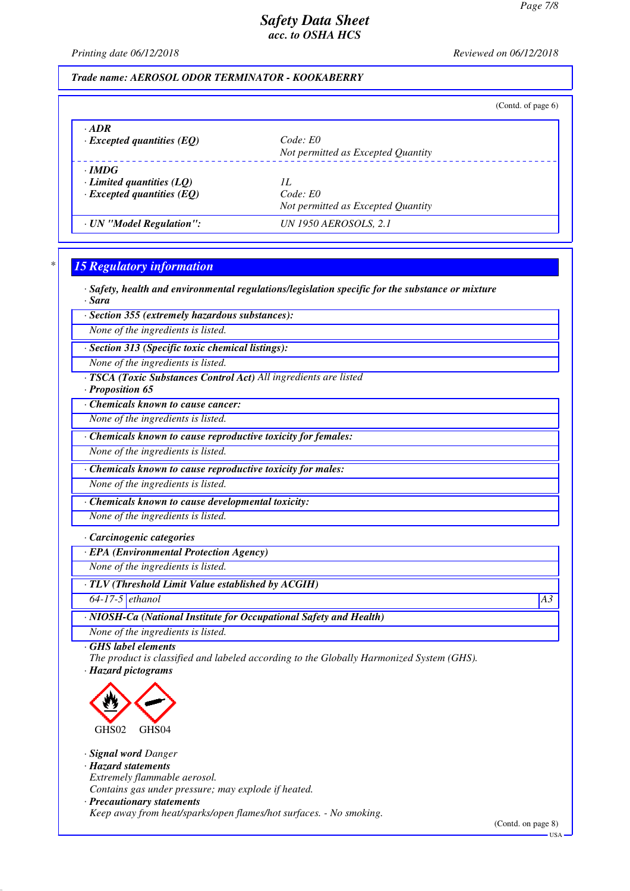*Printing date 06/12/2018 Reviewed on 06/12/2018*

## *Trade name: AEROSOL ODOR TERMINATOR - KOOKABERRY*

|                                  | (Contd. of page $6$ )              |
|----------------------------------|------------------------------------|
| $\cdot$ ADR                      | Code: E0                           |
| $\cdot$ Excepted quantities (EQ) | Not permitted as Excepted Quantity |
| $\cdot$ IMDG                     | 1L                                 |
| Limited quantities $(LQ)$        | Code: E0                           |
| $\cdot$ Excepted quantities (EQ) | Not permitted as Excepted Quantity |
| · UN "Model Regulation":         | UN 1950 AEROSOLS, 2.1              |

## *\* 15 Regulatory information*

*· Safety, health and environmental regulations/legislation specific for the substance or mixture*

*· Sara*

*· Section 355 (extremely hazardous substances):*

*None of the ingredients is listed.*

*· Section 313 (Specific toxic chemical listings):*

*None of the ingredients is listed.*

*· TSCA (Toxic Substances Control Act) All ingredients are listed*

*· Proposition 65*

*· Chemicals known to cause cancer:*

*None of the ingredients is listed.*

*· Chemicals known to cause reproductive toxicity for females:*

*None of the ingredients is listed.*

*· Chemicals known to cause reproductive toxicity for males:*

*None of the ingredients is listed.*

*· Chemicals known to cause developmental toxicity:*

*None of the ingredients is listed.*

*· Carcinogenic categories*

*· EPA (Environmental Protection Agency)*

*None of the ingredients is listed.*

*· TLV (Threshold Limit Value established by ACGIH)*

*64-17-5 ethanol A3*

*· NIOSH-Ca (National Institute for Occupational Safety and Health)*

*None of the ingredients is listed.*

*· GHS label elements*

*The product is classified and labeled according to the Globally Harmonized System (GHS). · Hazard pictograms*



*· Signal word Danger*

*· Hazard statements*

*Extremely flammable aerosol.*

*Contains gas under pressure; may explode if heated.*

*· Precautionary statements*

*Keep away from heat/sparks/open flames/hot surfaces. - No smoking.*

(Contd. on page 8)